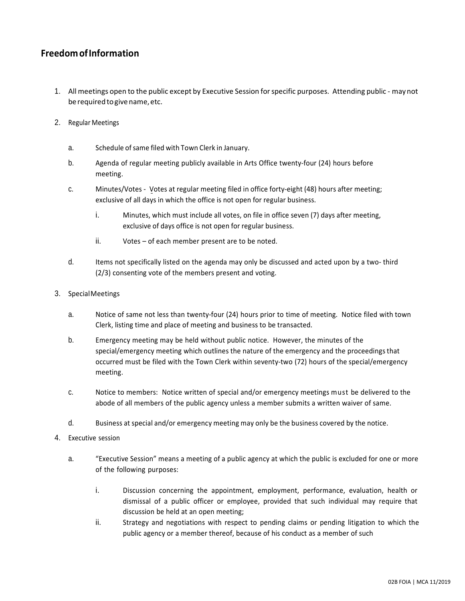## **FreedomofInformation**

- 1. All meetings open to the public except by Executive Session forspecific purposes. Attending public maynot be required to give name, etc.
- 2. Regular Meetings
	- a. Schedule ofsame filed with Town Clerk in January.
	- b. Agenda of regular meeting publicly available in Arts Office twenty-four (24) hours before meeting.
	- c. Minutes/Votes Votes at regular meeting filed in office forty-eight (48) hours after meeting; exclusive of all days in which the office is not open for regular business.
		- i. Minutes, which must include all votes, on file in office seven (7) days after meeting, exclusive of days office is not open for regular business.
		- ii. Votes of each member present are to be noted.
	- d. Items not specifically listed on the agenda may only be discussed and acted upon by a two- third (2/3) consenting vote of the members present and voting.

## 3. SpecialMeetings

- a. Notice of same not less than twenty-four (24) hours prior to time of meeting. Notice filed with town Clerk, listing time and place of meeting and business to be transacted.
- b. Emergency meeting may be held without public notice. However, the minutes of the special/emergency meeting which outlines the nature of the emergency and the proceedings that occurred must be filed with the Town Clerk within seventy-two (72) hours of the special/emergency meeting.
- c. Notice to members: Notice written of special and/or emergency meetings must be delivered to the abode of all members of the public agency unless a member submits a written waiver of same.
- d. Business at special and/or emergency meeting may only be the business covered by the notice.
- 4. Executive session
	- a. "Executive Session" means a meeting of a public agency at which the public is excluded for one or more of the following purposes:
		- i. Discussion concerning the appointment, employment, performance, evaluation, health or dismissal of a public officer or employee, provided that such individual may require that discussion be held at an open meeting;
		- ii. Strategy and negotiations with respect to pending claims or pending litigation to which the public agency or a member thereof, because of his conduct as a member of such